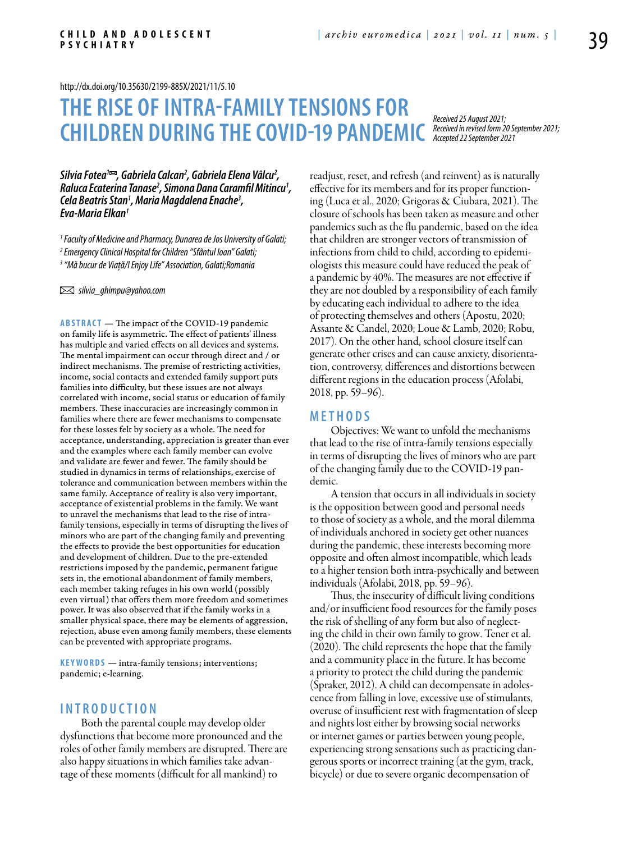<http://dx.doi.org/10.35630/2199-885X/2021/11/5.10>

# **THE RISE OF INTRA-FAMILY TENSIONS FOR CHILDREN DURING THE COVID-19 PANDEMIC**

*Received 25 August 2021; Received in revised form 20 September 2021; Accepted 22 September 2021*

# Silvia Fotea™, Gabriela Calcan<sup>2</sup>, Gabriela Elena Vâlcu<sup>2</sup> Silvia Fotea™, Gabriela Calcan<sup>2</sup>, Gabriela Elena Vâlcu<sup>2</sup>,<br>Raluca Ecaterina Tanase<sup>2</sup>, Simona Dana Caramfil Mitincu<sup>1</sup>,<br>Cela Beatris Stan<sup>1</sup>, Maria Magdalena Enache<sup>3</sup>, Cela Beatris Stan<sup>1</sup>, Maria Magdalena Enache<sup>3</sup>,<br>Eva-Maria Elkan<sup>1</sup>

*1 Faculty of Medicine and Pharmacy, Dunarea de Jos University of Galati; 2 Emergency Clinical Hospital for Children "Sfântul Ioan" Galati; 3 "Mă bucur de Viață/I Enjoy Life" Association, Galati;Romania*

 *silvia\_ghimpu@yahoo.com* 

**ABSTRACT** — The impact of the COVID-19 pandemic on family life is asymmetric. The effect of patients' illness has multiple and varied effects on all devices and systems. The mental impairment can occur through direct and / or indirect mechanisms. The premise of restricting activities, income, social contacts and extended family support puts families into difficulty, but these issues are not always correlated with income, social status or education of family members. These inaccuracies are increasingly common in families where there are fewer mechanisms to compensate for these losses felt by society as a whole. The need for acceptance, understanding, appreciation is greater than ever and the examples where each family member can evolve and validate are fewer and fewer. The family should be studied in dynamics in terms of relationships, exercise of tolerance and communication between members within the same family. Acceptance of reality is also very important, acceptance of existential problems in the family. We want to unravel the mechanisms that lead to the rise of intrafamily tensions, especially in terms of disrupting the lives of minors who are part of the changing family and preventing the effects to provide the best opportunities for education and development of children. Due to the pre-extended restrictions imposed by the pandemic, permanent fatigue sets in, the emotional abandonment of family members, each member taking refuges in his own world (possibly even virtual) that offers them more freedom and sometimes power. It was also observed that if the family works in a smaller physical space, there may be elements of aggression, rejection, abuse even among family members, these elements can be prevented with appropriate programs.

KEYWORDS — intra-family tensions; interventions; pandemic; e-learning.

#### **INTROD U CTION**

Both the parental couple may develop older dysfunctions that become more pronounced and the roles of other family members are disrupted. There are also happy situations in which families take advantage of these moments (difficult for all mankind) to

readjust, reset, and refresh (and reinvent) as is naturally effective for its members and for its proper functioning (Luca et al., 2020; Grigoras & Ciubara, 2021). The closure of schools has been taken as measure and other pandemics such as the flu pandemic, based on the idea that children are stronger vectors of transmission of infections from child to child, according to epidemiologists this measure could have reduced the peak of a pandemic by 40%. The measures are not effective if they are not doubled by a responsibility of each family by educating each individual to adhere to the idea of protecting themselves and others (Apostu, 2020; Assante & Candel, 2020; Loue & Lamb, 2020; Robu, 2017). On the other hand, school closure itself can generate other crises and can cause anxiety, disorientation, controversy, differences and distortions between different regions in the education process (Afolabi, 2018, pp. 59–96).

#### **MET H ODS**

Objectives: We want to unfold the mechanisms that lead to the rise of intra-family tensions especially in terms of disrupting the lives of minors who are part of the changing family due to the COVID-19 pandemic.

A tension that occurs in all individuals in society is the opposition between good and personal needs to those of society as a whole, and the moral dilemma of individuals anchored in society get other nuances during the pandemic, these interests becoming more opposite and often almost incompatible, which leads to a higher tension both intra-psychically and between individuals (Afolabi, 2018, pp. 59–96).

Thus, the insecurity of difficult living conditions and/or insufficient food resources for the family poses the risk of shelling of any form but also of neglecting the child in their own family to grow. Tener et al. (2020). The child represents the hope that the family and a community place in the future. It has become a priority to protect the child during the pandemic (Spraker, 2012). A child can decompensate in adolescence from falling in love, excessive use of stimulants, overuse of insufficient rest with fragmentation of sleep and nights lost either by browsing social networks or internet games or parties between young people, experiencing strong sensations such as practicing dangerous sports or incorrect training (at the gym, track, bicycle) or due to severe organic decompensation of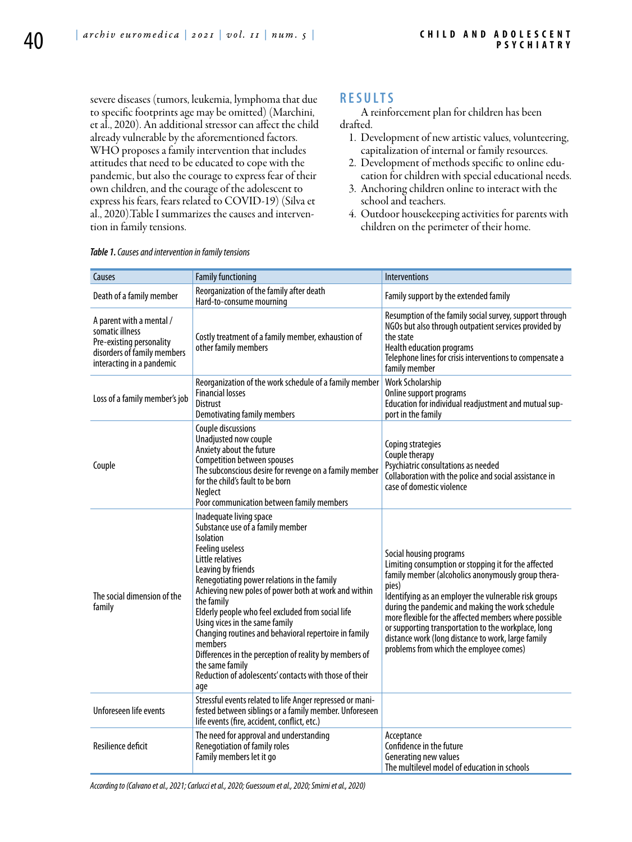severe diseases (tumors, leukemia, lymphoma that due to specific footprints age may be omitted) (Marchini, et al., 2020). An additional stressor can affect the child already vulnerable by the aforementioned factors. WHO proposes a family intervention that includes attitudes that need to be educated to cope with the pandemic, but also the courage to express fear of their own children, and the courage of the adolescent to express his fears, fears related to COVID-19) (Silva et al., 2020).Table I summarizes the causes and intervention in family tensions.

## **RES U LTS**

A reinforcement plan for children has been drafted.

- 1. Development of new artistic values, volunteering, capitalization of internal or family resources.
- 2. Development of methods specific to online education for children with special educational needs.
- 3. Anchoring children online to interact with the school and teachers.
- 4. Outdoor housekeeping activities for parents with children on the perimeter of their home.

| Causes                                                                                                                              | <b>Family functioning</b>                                                                                                                                                                                                                                                                                                                                                                                                                                                                                                                                                  | <b>Interventions</b>                                                                                                                                                                                                                                                                                                                                                                                                                                                         |
|-------------------------------------------------------------------------------------------------------------------------------------|----------------------------------------------------------------------------------------------------------------------------------------------------------------------------------------------------------------------------------------------------------------------------------------------------------------------------------------------------------------------------------------------------------------------------------------------------------------------------------------------------------------------------------------------------------------------------|------------------------------------------------------------------------------------------------------------------------------------------------------------------------------------------------------------------------------------------------------------------------------------------------------------------------------------------------------------------------------------------------------------------------------------------------------------------------------|
| Death of a family member                                                                                                            | Reorganization of the family after death<br>Hard-to-consume mourning                                                                                                                                                                                                                                                                                                                                                                                                                                                                                                       | Family support by the extended family                                                                                                                                                                                                                                                                                                                                                                                                                                        |
| A parent with a mental /<br>somatic illness<br>Pre-existing personality<br>disorders of family members<br>interacting in a pandemic | Costly treatment of a family member, exhaustion of<br>other family members                                                                                                                                                                                                                                                                                                                                                                                                                                                                                                 | Resumption of the family social survey, support through<br>NGOs but also through outpatient services provided by<br>the state<br>Health education programs<br>Telephone lines for crisis interventions to compensate a<br>family member                                                                                                                                                                                                                                      |
| Loss of a family member's job                                                                                                       | Reorganization of the work schedule of a family member<br><b>Financial losses</b><br><b>Distrust</b><br><b>Demotivating family members</b>                                                                                                                                                                                                                                                                                                                                                                                                                                 | <b>Work Scholarship</b><br>Online support programs<br>Education for individual readjustment and mutual sup-<br>port in the family                                                                                                                                                                                                                                                                                                                                            |
| Couple                                                                                                                              | Couple discussions<br>Unadjusted now couple<br>Anxiety about the future<br><b>Competition between spouses</b><br>The subconscious desire for revenge on a family member<br>for the child's fault to be born<br>Neglect<br>Poor communication between family members                                                                                                                                                                                                                                                                                                        | Coping strategies<br>Couple therapy<br>Psychiatric consultations as needed<br>Collaboration with the police and social assistance in<br>case of domestic violence                                                                                                                                                                                                                                                                                                            |
| The social dimension of the<br>family                                                                                               | Inadequate living space<br>Substance use of a family member<br><b>Isolation</b><br>Feeling useless<br>Little relatives<br>Leaving by friends<br>Renegotiating power relations in the family<br>Achieving new poles of power both at work and within<br>the family<br>Elderly people who feel excluded from social life<br>Using vices in the same family<br>Changing routines and behavioral repertoire in family<br>members<br>Differences in the perception of reality by members of<br>the same family<br>Reduction of adolescents' contacts with those of their<br>age | Social housing programs<br>Limiting consumption or stopping it for the affected<br>family member (alcoholics anonymously group thera-<br>pies)<br>Identifying as an employer the vulnerable risk groups<br>during the pandemic and making the work schedule<br>more flexible for the affected members where possible<br>or supporting transportation to the workplace, long<br>distance work (long distance to work, large family<br>problems from which the employee comes) |
| Unforeseen life events                                                                                                              | Stressful events related to life Anger repressed or mani-<br>fested between siblings or a family member. Unforeseen<br>life events (fire, accident, conflict, etc.)                                                                                                                                                                                                                                                                                                                                                                                                        |                                                                                                                                                                                                                                                                                                                                                                                                                                                                              |
| Resilience deficit                                                                                                                  | The need for approval and understanding<br>Renegotiation of family roles<br>Family members let it go                                                                                                                                                                                                                                                                                                                                                                                                                                                                       | Acceptance<br>Confidence in the future<br>Generating new values<br>The multilevel model of education in schools                                                                                                                                                                                                                                                                                                                                                              |

*Table 1. Causes and intervention in family tensions*

*According to (Calvano et al., 2021; Carlucci et al., 2020; Guessoum et al., 2020; Smirni et al., 2020)*